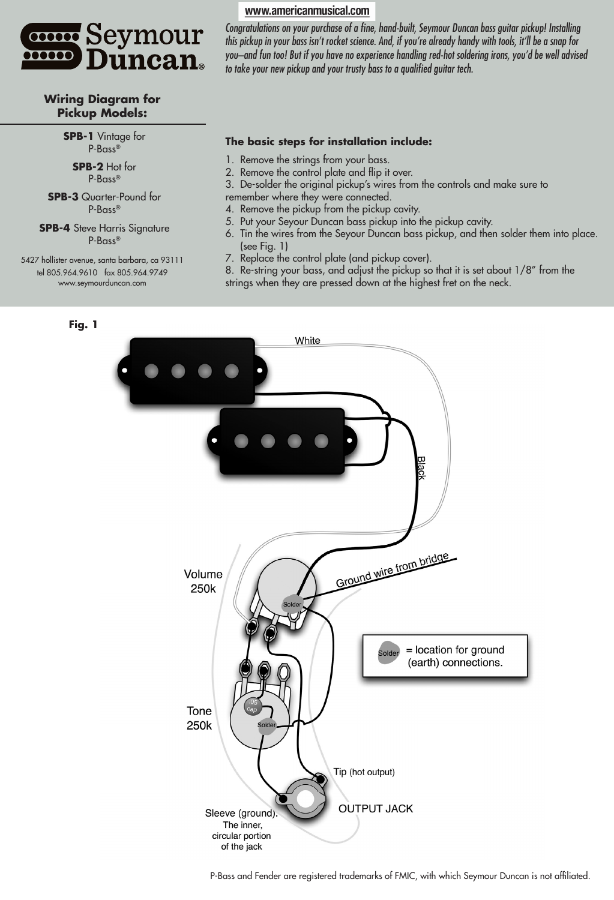

#### **Wiring Diagram for Pickup Models:**

**SPB-1** Vintage for P-Bass®

> **SPB-2** Hot for P-Bass®

**SPB-3** Quarter-Pound for P-Bass®

**SPB-4** Steve Harris Signature P-Bass®

5427 hollister avenue, santa barbara, ca 93111 tel 805.964.9610 fax 805.964.9749 www.seymourduncan.com

#### www.americanmusical.com

Congratulations on your purchase of a fine, hand-built, Seymour Duncan bass guitar pickup! Installing this pickup in your bass isn't rocket science. And, if you're already handy with tools, it'll be a snap for you–and fun too! But if you have no experience handling red-hot soldering irons, you'd be well advised to take your new pickup and your trusty bass to a qualified guitar tech.

#### **The basic steps for installation include:**

- 1. Remove the strings from your bass.
- 2. Remove the control plate and flip it over.

3. De-solder the original pickup's wires from the controls and make sure to remember where they were connected.

- 4. Remove the pickup from the pickup cavity.
- 5. Put your Seyour Duncan bass pickup into the pickup cavity.
- 6. Tin the wires from the Seyour Duncan bass pickup, and then solder them into place. (see Fig. 1)
- 7. Replace the control plate (and pickup cover).
- 8. Re-string your bass, and adjust the pickup so that it is set about 1/8" from the strings when they are pressed down at the highest fret on the neck.



P-Bass and Fender are registered trademarks of FMIC, with which Seymour Duncan is not affiliated.

#### **Fig. 1**